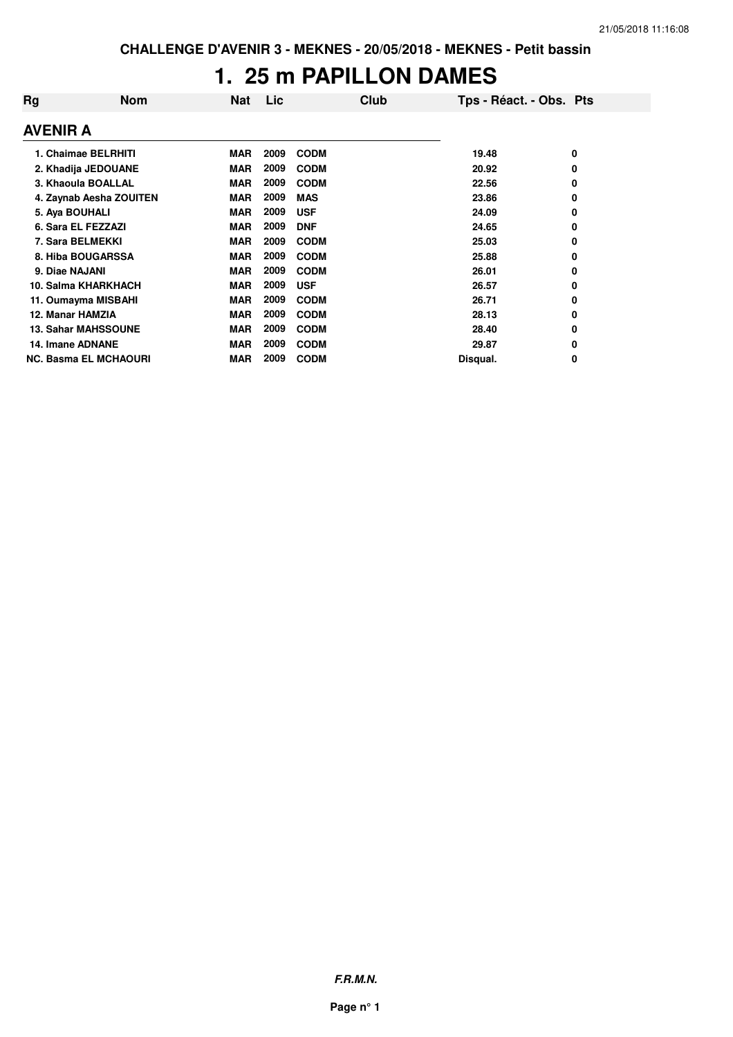## **1. 25 m PAPILLON DAMES**

| Rg                      | <b>Nom</b>                   | <b>Nat</b> | Lic  | Club        | Tps - Réact. - Obs. Pts |   |
|-------------------------|------------------------------|------------|------|-------------|-------------------------|---|
| <b>AVENIR A</b>         |                              |            |      |             |                         |   |
|                         | 1. Chaimae BELRHITI          | <b>MAR</b> | 2009 | <b>CODM</b> | 19.48                   | 0 |
|                         | 2. Khadija JEDOUANE          | <b>MAR</b> | 2009 | <b>CODM</b> | 20.92                   | 0 |
|                         | 3. Khaoula BOALLAL           | <b>MAR</b> | 2009 | <b>CODM</b> | 22.56                   | 0 |
|                         | 4. Zaynab Aesha ZOUITEN      | <b>MAR</b> | 2009 | <b>MAS</b>  | 23.86                   | 0 |
| 5. Aya BOUHALI          |                              | <b>MAR</b> | 2009 | <b>USF</b>  | 24.09                   | 0 |
|                         | 6. Sara EL FEZZAZI           | <b>MAR</b> | 2009 | <b>DNF</b>  | 24.65                   | 0 |
| 7. Sara BELMEKKI        |                              | <b>MAR</b> | 2009 | <b>CODM</b> | 25.03                   | 0 |
|                         | 8. Hiba BOUGARSSA            | <b>MAR</b> | 2009 | <b>CODM</b> | 25.88                   | 0 |
| 9. Diae NAJANI          |                              | <b>MAR</b> | 2009 | <b>CODM</b> | 26.01                   | 0 |
|                         | 10. Salma KHARKHACH          | <b>MAR</b> | 2009 | <b>USF</b>  | 26.57                   | 0 |
|                         | 11. Oumayma MISBAHI          | <b>MAR</b> | 2009 | <b>CODM</b> | 26.71                   | 0 |
| 12. Manar HAMZIA        |                              | <b>MAR</b> | 2009 | <b>CODM</b> | 28.13                   | 0 |
|                         | <b>13. Sahar MAHSSOUNE</b>   | <b>MAR</b> | 2009 | <b>CODM</b> | 28.40                   | 0 |
| <b>14. Imane ADNANE</b> |                              | <b>MAR</b> | 2009 | <b>CODM</b> | 29.87                   | 0 |
|                         | <b>NC. Basma EL MCHAOURI</b> | <b>MAR</b> | 2009 | <b>CODM</b> | Disqual.                | 0 |

**F.R.M.N.**

**Page n° 1**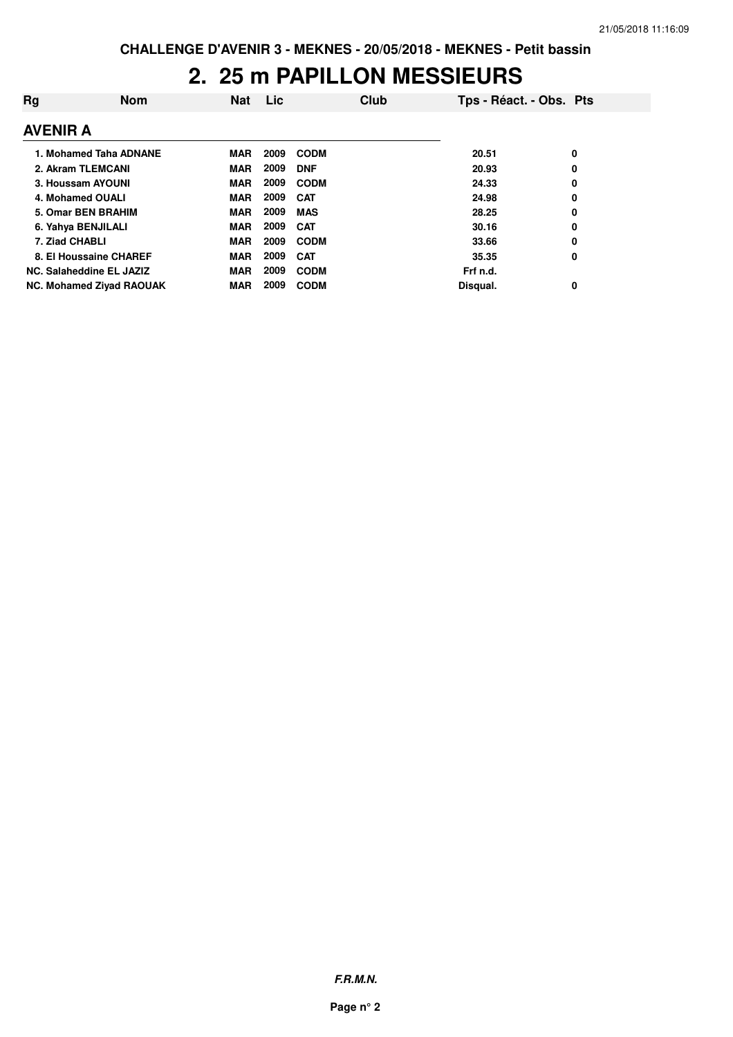### **2. 25 m PAPILLON MESSIEURS**

| Rg              | <b>Nom</b>                      | <b>Nat</b> | Lic  |             | Club | Tps - Réact. - Obs. Pts |   |
|-----------------|---------------------------------|------------|------|-------------|------|-------------------------|---|
| <b>AVENIR A</b> |                                 |            |      |             |      |                         |   |
|                 | 1. Mohamed Taha ADNANE          | <b>MAR</b> | 2009 | <b>CODM</b> |      | 20.51                   | 0 |
|                 | 2. Akram TLEMCANI               | <b>MAR</b> | 2009 | <b>DNF</b>  |      | 20.93                   | 0 |
|                 | 3. Houssam AYOUNI               | <b>MAR</b> | 2009 | <b>CODM</b> |      | 24.33                   | 0 |
|                 | 4. Mohamed OUALI                | <b>MAR</b> | 2009 | <b>CAT</b>  |      | 24.98                   | 0 |
|                 | 5. Omar BEN BRAHIM              | <b>MAR</b> | 2009 | <b>MAS</b>  |      | 28.25                   | 0 |
|                 | 6. Yahya BENJILALI              | <b>MAR</b> | 2009 | <b>CAT</b>  |      | 30.16                   | 0 |
|                 | 7. Ziad CHABLI                  | <b>MAR</b> | 2009 | <b>CODM</b> |      | 33.66                   | 0 |
|                 | 8. El Houssaine CHAREF          | <b>MAR</b> | 2009 | <b>CAT</b>  |      | 35.35                   | 0 |
|                 | NC. Salaheddine EL JAZIZ        | <b>MAR</b> | 2009 | <b>CODM</b> |      | Frf n.d.                |   |
|                 | <b>NC. Mohamed Zivad RAOUAK</b> | <b>MAR</b> | 2009 | <b>CODM</b> |      | Disqual.                | 0 |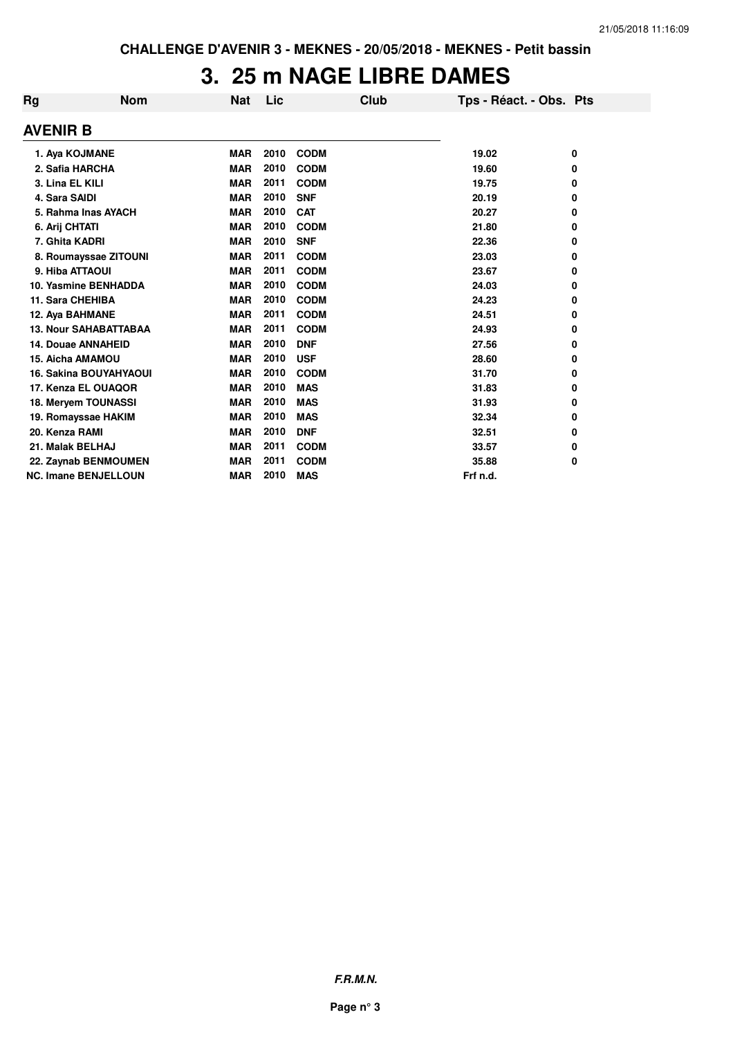### **3. 25 m NAGE LIBRE DAMES**

| Rg               | <b>Nom</b>                    | Nat        | Lic  | <b>Club</b> | Tps - Réact. - Obs. Pts |   |
|------------------|-------------------------------|------------|------|-------------|-------------------------|---|
| <b>AVENIR B</b>  |                               |            |      |             |                         |   |
|                  | 1. Aya KOJMANE                | <b>MAR</b> | 2010 | <b>CODM</b> | 19.02                   | 0 |
|                  | 2. Safia HARCHA               | <b>MAR</b> | 2010 | <b>CODM</b> | 19.60                   | 0 |
| 3. Lina EL KILI  |                               | <b>MAR</b> | 2011 | <b>CODM</b> | 19.75                   | 0 |
| 4. Sara SAIDI    |                               | <b>MAR</b> | 2010 | <b>SNF</b>  | 20.19                   | 0 |
|                  | 5. Rahma Inas AYACH           | <b>MAR</b> | 2010 | <b>CAT</b>  | 20.27                   | 0 |
| 6. Arij CHTATI   |                               | <b>MAR</b> | 2010 | <b>CODM</b> | 21.80                   | 0 |
| 7. Ghita KADRI   |                               | <b>MAR</b> | 2010 | <b>SNF</b>  | 22.36                   | 0 |
|                  | 8. Roumayssae ZITOUNI         | <b>MAR</b> | 2011 | <b>CODM</b> | 23.03                   | 0 |
| 9. Hiba ATTAOUI  |                               | <b>MAR</b> | 2011 | <b>CODM</b> | 23.67                   | 0 |
|                  | 10. Yasmine BENHADDA          | <b>MAR</b> | 2010 | <b>CODM</b> | 24.03                   | 0 |
| 11. Sara CHEHIBA |                               | <b>MAR</b> | 2010 | <b>CODM</b> | 24.23                   | 0 |
| 12. Aya BAHMANE  |                               | <b>MAR</b> | 2011 | <b>CODM</b> | 24.51                   | 0 |
|                  | <b>13. Nour SAHABATTABAA</b>  | <b>MAR</b> | 2011 | <b>CODM</b> | 24.93                   | 0 |
|                  | <b>14. Douae ANNAHEID</b>     | <b>MAR</b> | 2010 | <b>DNF</b>  | 27.56                   | 0 |
|                  | 15. Aicha AMAMOU              | <b>MAR</b> | 2010 | <b>USF</b>  | 28.60                   | 0 |
|                  | <b>16. Sakina BOUYAHYAOUI</b> | <b>MAR</b> | 2010 | <b>CODM</b> | 31.70                   | 0 |
|                  | 17. Kenza EL OUAQOR           | <b>MAR</b> | 2010 | <b>MAS</b>  | 31.83                   | 0 |
|                  | 18. Meryem TOUNASSI           | <b>MAR</b> | 2010 | <b>MAS</b>  | 31.93                   | 0 |
|                  | 19. Romayssae HAKIM           | <b>MAR</b> | 2010 | <b>MAS</b>  | 32.34                   | 0 |
| 20. Kenza RAMI   |                               | <b>MAR</b> | 2010 | <b>DNF</b>  | 32.51                   | 0 |
| 21. Malak BELHAJ |                               | <b>MAR</b> | 2011 | <b>CODM</b> | 33.57                   | 0 |
|                  | 22. Zaynab BENMOUMEN          | <b>MAR</b> | 2011 | <b>CODM</b> | 35.88                   | 0 |
|                  | <b>NC. Imane BENJELLOUN</b>   | <b>MAR</b> | 2010 | <b>MAS</b>  | Frf n.d.                |   |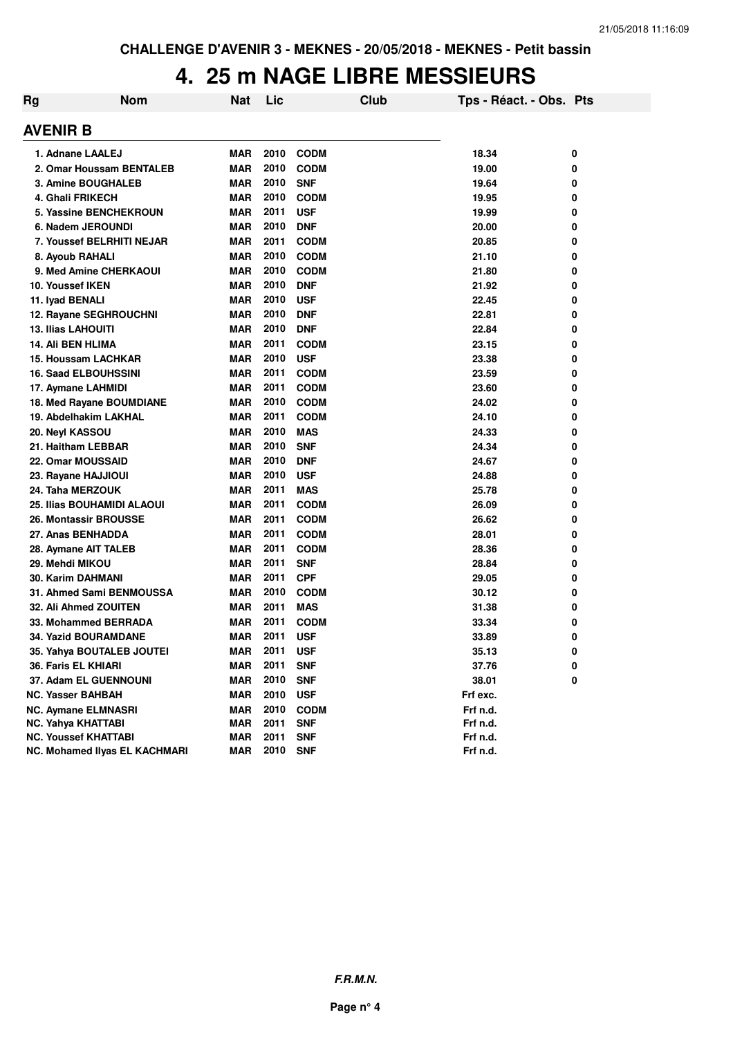# **4. 25 m NAGE LIBRE MESSIEURS**

| Rg | <b>Nom</b>                    | Nat        | Lic  | Club        | Tps - Réact. - Obs. Pts |   |
|----|-------------------------------|------------|------|-------------|-------------------------|---|
|    | AVENIR B                      |            |      |             |                         |   |
|    | 1. Adnane LAALEJ              | <b>MAR</b> | 2010 | <b>CODM</b> | 18.34                   | 0 |
|    | 2. Omar Houssam BENTALEB      | <b>MAR</b> | 2010 | <b>CODM</b> | 19.00                   | 0 |
|    | <b>3. Amine BOUGHALEB</b>     | <b>MAR</b> | 2010 | <b>SNF</b>  | 19.64                   | 0 |
|    | 4. Ghali FRIKECH              | <b>MAR</b> | 2010 | <b>CODM</b> | 19.95                   | 0 |
|    | <b>5. Yassine BENCHEKROUN</b> | <b>MAR</b> | 2011 | <b>USF</b>  | 19.99                   | 0 |
|    | 6. Nadem JEROUNDI             | <b>MAR</b> | 2010 | <b>DNF</b>  | 20.00                   | 0 |
|    | 7. Youssef BELRHITI NEJAR     | <b>MAR</b> | 2011 | <b>CODM</b> | 20.85                   | 0 |
|    | 8. Ayoub RAHALI               | <b>MAR</b> | 2010 | <b>CODM</b> | 21.10                   | 0 |
|    | 9. Med Amine CHERKAOUI        | <b>MAR</b> | 2010 | <b>CODM</b> | 21.80                   | 0 |
|    | 10. Youssef IKEN              | <b>MAR</b> | 2010 | <b>DNF</b>  | 21.92                   | 0 |
|    | 11. Iyad BENALI               | <b>MAR</b> | 2010 | <b>USF</b>  | 22.45                   | 0 |
|    | 12. Rayane SEGHROUCHNI        | <b>MAR</b> | 2010 | <b>DNF</b>  | 22.81                   | 0 |
|    | <b>13. Ilias LAHOUITI</b>     | <b>MAR</b> | 2010 | <b>DNF</b>  | 22.84                   | 0 |
|    | 14. Ali BEN HLIMA             | <b>MAR</b> | 2011 | <b>CODM</b> | 23.15                   | 0 |
|    | <b>15. Houssam LACHKAR</b>    | <b>MAR</b> | 2010 | <b>USF</b>  | 23.38                   | 0 |
|    | <b>16. Saad ELBOUHSSINI</b>   | <b>MAR</b> | 2011 | <b>CODM</b> | 23.59                   | 0 |
|    | 17. Aymane LAHMIDI            | <b>MAR</b> | 2011 | <b>CODM</b> | 23.60                   | 0 |
|    | 18. Med Rayane BOUMDIANE      | <b>MAR</b> | 2010 | <b>CODM</b> | 24.02                   | 0 |
|    | 19. Abdelhakim LAKHAL         | <b>MAR</b> | 2011 | <b>CODM</b> | 24.10                   | 0 |
|    | 20. Neyl KASSOU               | <b>MAR</b> | 2010 | <b>MAS</b>  | 24.33                   | 0 |
|    | 21. Haitham LEBBAR            | <b>MAR</b> | 2010 | <b>SNF</b>  | 24.34                   | 0 |
|    | 22. Omar MOUSSAID             | <b>MAR</b> | 2010 | <b>DNF</b>  | 24.67                   | 0 |
|    | 23. Rayane HAJJIOUI           | <b>MAR</b> | 2010 | <b>USF</b>  | 24.88                   | 0 |
|    | 24. Taha MERZOUK              | <b>MAR</b> | 2011 | <b>MAS</b>  | 25.78                   | 0 |
|    | 25. Ilias BOUHAMIDI ALAOUI    | <b>MAR</b> | 2011 | <b>CODM</b> | 26.09                   | 0 |
|    | <b>26. Montassir BROUSSE</b>  | <b>MAR</b> | 2011 | <b>CODM</b> | 26.62                   | 0 |
|    | 27. Anas BENHADDA             | <b>MAR</b> | 2011 | <b>CODM</b> | 28.01                   | 0 |
|    | 28. Aymane AIT TALEB          | <b>MAR</b> | 2011 | <b>CODM</b> | 28.36                   | 0 |
|    | 29. Mehdi MIKOU               | <b>MAR</b> | 2011 | <b>SNF</b>  | 28.84                   | 0 |
|    | <b>30. Karim DAHMANI</b>      | <b>MAR</b> | 2011 | <b>CPF</b>  | 29.05                   | 0 |
|    | 31. Ahmed Sami BENMOUSSA      | <b>MAR</b> | 2010 | <b>CODM</b> | 30.12                   | 0 |
|    | 32. Ali Ahmed ZOUITEN         | <b>MAR</b> | 2011 | <b>MAS</b>  | 31.38                   | 0 |
|    | 33. Mohammed BERRADA          | <b>MAR</b> | 2011 | <b>CODM</b> | 33.34                   | 0 |
|    | <b>34. Yazid BOURAMDANE</b>   | <b>MAR</b> | 2011 | <b>USF</b>  | 33.89                   | 0 |
|    | 35. Yahya BOUTALEB JOUTEI     | <b>MAR</b> | 2011 | <b>USF</b>  | 35.13                   | 0 |
|    | 36. Faris EL KHIARI           | <b>MAR</b> | 2011 | <b>SNF</b>  | 37.76                   | 0 |
|    | 37. Adam EL GUENNOUNI         | <b>MAR</b> | 2010 | <b>SNF</b>  | 38.01                   | 0 |
|    | <b>NC. Yasser BAHBAH</b>      | <b>MAR</b> | 2010 | <b>USF</b>  | Frf exc.                |   |
|    | <b>NC. Aymane ELMNASRI</b>    | <b>MAR</b> | 2010 | <b>CODM</b> | Frf n.d.                |   |
|    | NC. Yahya KHATTABI            | <b>MAR</b> | 2011 | <b>SNF</b>  | Frf n.d.                |   |
|    | <b>NC. Youssef KHATTABI</b>   | <b>MAR</b> | 2011 | <b>SNF</b>  | Frf n.d.                |   |
|    | NC. Mohamed Ilyas EL KACHMARI | <b>MAR</b> | 2010 | <b>SNF</b>  | Frf n.d.                |   |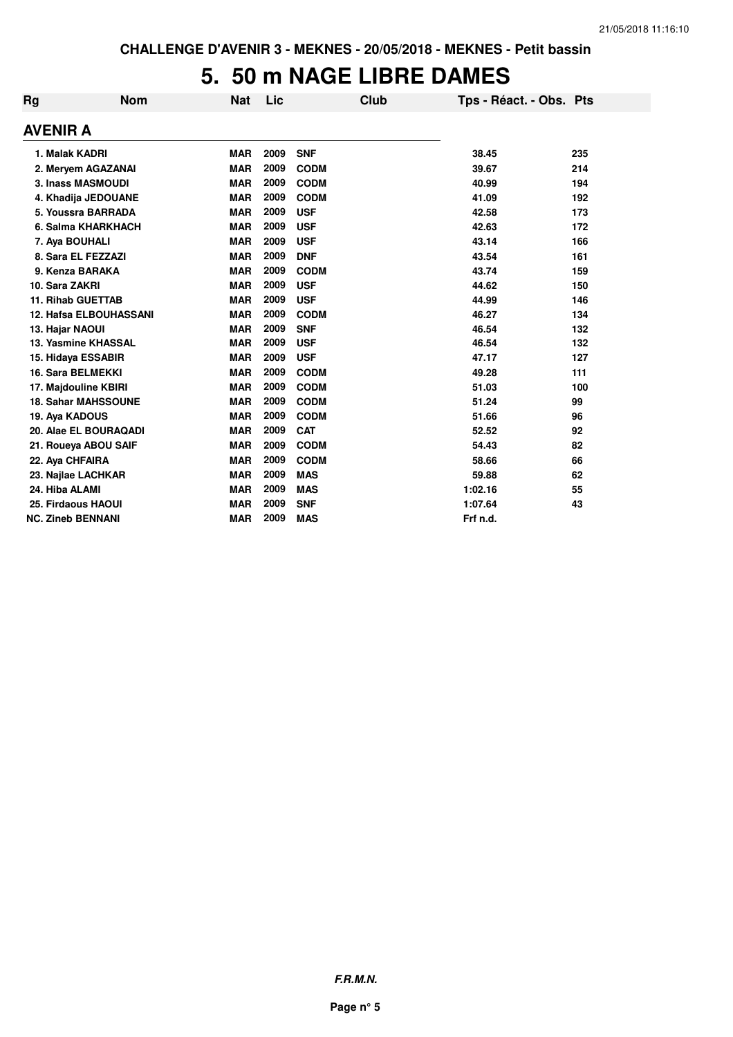### **5. 50 m NAGE LIBRE DAMES**

| Rg              | <b>Nom</b>                    | <b>Nat</b> | Lic  | Club        | Tps - Réact. - Obs. Pts |     |
|-----------------|-------------------------------|------------|------|-------------|-------------------------|-----|
| AVENIR A        |                               |            |      |             |                         |     |
| 1. Malak KADRI  |                               | <b>MAR</b> | 2009 | <b>SNF</b>  | 38.45                   | 235 |
|                 | 2. Meryem AGAZANAI            | <b>MAR</b> | 2009 | <b>CODM</b> | 39.67                   | 214 |
|                 | <b>3. Inass MASMOUDI</b>      | <b>MAR</b> | 2009 | <b>CODM</b> | 40.99                   | 194 |
|                 | 4. Khadija JEDOUANE           | <b>MAR</b> | 2009 | <b>CODM</b> | 41.09                   | 192 |
|                 | 5. Youssra BARRADA            | <b>MAR</b> | 2009 | <b>USF</b>  | 42.58                   | 173 |
|                 | 6. Salma KHARKHACH            | <b>MAR</b> | 2009 | <b>USF</b>  | 42.63                   | 172 |
| 7. Aya BOUHALI  |                               | <b>MAR</b> | 2009 | <b>USF</b>  | 43.14                   | 166 |
|                 | 8. Sara EL FEZZAZI            | <b>MAR</b> | 2009 | <b>DNF</b>  | 43.54                   | 161 |
|                 | 9. Kenza BARAKA               | <b>MAR</b> | 2009 | <b>CODM</b> | 43.74                   | 159 |
| 10. Sara ZAKRI  |                               | <b>MAR</b> | 2009 | <b>USF</b>  | 44.62                   | 150 |
|                 | <b>11. Rihab GUETTAB</b>      | <b>MAR</b> | 2009 | <b>USF</b>  | 44.99                   | 146 |
|                 | <b>12. Hafsa ELBOUHASSANI</b> | <b>MAR</b> | 2009 | <b>CODM</b> | 46.27                   | 134 |
| 13. Hajar NAOUI |                               | <b>MAR</b> | 2009 | <b>SNF</b>  | 46.54                   | 132 |
|                 | 13. Yasmine KHASSAL           | <b>MAR</b> | 2009 | <b>USF</b>  | 46.54                   | 132 |
|                 | 15. Hidaya ESSABIR            | <b>MAR</b> | 2009 | <b>USF</b>  | 47.17                   | 127 |
|                 | 16. Sara BELMEKKI             | <b>MAR</b> | 2009 | <b>CODM</b> | 49.28                   | 111 |
|                 | 17. Majdouline KBIRI          | <b>MAR</b> | 2009 | <b>CODM</b> | 51.03                   | 100 |
|                 | <b>18. Sahar MAHSSOUNE</b>    | <b>MAR</b> | 2009 | <b>CODM</b> | 51.24                   | 99  |
| 19. Aya KADOUS  |                               | <b>MAR</b> | 2009 | <b>CODM</b> | 51.66                   | 96  |
|                 | 20. Alae EL BOURAQADI         | <b>MAR</b> | 2009 | <b>CAT</b>  | 52.52                   | 92  |
|                 | 21. Roueya ABOU SAIF          | <b>MAR</b> | 2009 | <b>CODM</b> | 54.43                   | 82  |
| 22. Aya CHFAIRA |                               | <b>MAR</b> | 2009 | <b>CODM</b> | 58.66                   | 66  |
|                 | 23. Najlae LACHKAR            | <b>MAR</b> | 2009 | <b>MAS</b>  | 59.88                   | 62  |
| 24. Hiba ALAMI  |                               | <b>MAR</b> | 2009 | <b>MAS</b>  | 1:02.16                 | 55  |
|                 | 25. Firdaous HAOUI            | <b>MAR</b> | 2009 | <b>SNF</b>  | 1:07.64                 | 43  |
|                 | <b>NC. Zineb BENNANI</b>      | <b>MAR</b> | 2009 | <b>MAS</b>  | Frf n.d.                |     |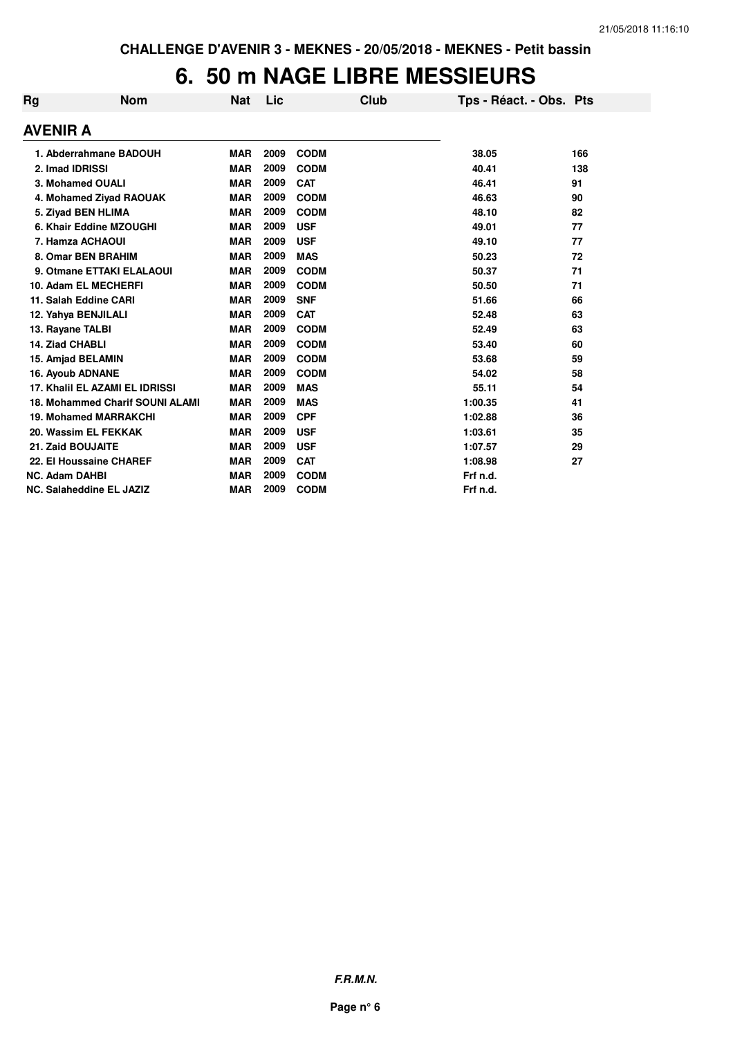#### **6. 50 m NAGE LIBRE MESSIEURS**

| Rg                              | <b>Nom</b>                             | <b>Nat</b> | Lic  |             | Club | Tps - Réact. - Obs. Pts |     |
|---------------------------------|----------------------------------------|------------|------|-------------|------|-------------------------|-----|
| <b>AVENIR A</b>                 |                                        |            |      |             |      |                         |     |
|                                 | 1. Abderrahmane BADOUH                 | <b>MAR</b> | 2009 | <b>CODM</b> |      | 38.05                   | 166 |
| 2. Imad IDRISSI                 |                                        | <b>MAR</b> | 2009 | <b>CODM</b> |      | 40.41                   | 138 |
| 3. Mohamed OUALI                |                                        | <b>MAR</b> | 2009 | <b>CAT</b>  |      | 46.41                   | 91  |
|                                 | 4. Mohamed Ziyad RAOUAK                | <b>MAR</b> | 2009 | <b>CODM</b> |      | 46.63                   | 90  |
| 5. Ziyad BEN HLIMA              |                                        | <b>MAR</b> | 2009 | <b>CODM</b> |      | 48.10                   | 82  |
| 6. Khair Eddine MZOUGHI         |                                        | <b>MAR</b> | 2009 | <b>USF</b>  |      | 49.01                   | 77  |
| 7. Hamza ACHAOUI                |                                        | <b>MAR</b> | 2009 | <b>USF</b>  |      | 49.10                   | 77  |
| 8. Omar BEN BRAHIM              |                                        | <b>MAR</b> | 2009 | <b>MAS</b>  |      | 50.23                   | 72  |
|                                 | 9. Otmane ETTAKI ELALAOUI              | <b>MAR</b> | 2009 | <b>CODM</b> |      | 50.37                   | 71  |
| 10. Adam EL MECHERFI            |                                        | <b>MAR</b> | 2009 | <b>CODM</b> |      | 50.50                   | 71  |
| 11. Salah Eddine CARI           |                                        | <b>MAR</b> | 2009 | <b>SNF</b>  |      | 51.66                   | 66  |
| 12. Yahya BENJILALI             |                                        | <b>MAR</b> | 2009 | <b>CAT</b>  |      | 52.48                   | 63  |
| 13. Rayane TALBI                |                                        | <b>MAR</b> | 2009 | <b>CODM</b> |      | 52.49                   | 63  |
| 14. Ziad CHABLI                 |                                        | <b>MAR</b> | 2009 | <b>CODM</b> |      | 53.40                   | 60  |
| 15. Amjad BELAMIN               |                                        | <b>MAR</b> | 2009 | <b>CODM</b> |      | 53.68                   | 59  |
| <b>16. Ayoub ADNANE</b>         |                                        | <b>MAR</b> | 2009 | <b>CODM</b> |      | 54.02                   | 58  |
|                                 | 17. Khalil EL AZAMI EL IDRISSI         | <b>MAR</b> | 2009 | <b>MAS</b>  |      | 55.11                   | 54  |
|                                 | <b>18. Mohammed Charif SOUNI ALAMI</b> | <b>MAR</b> | 2009 | <b>MAS</b>  |      | 1:00.35                 | 41  |
| <b>19. Mohamed MARRAKCHI</b>    |                                        | <b>MAR</b> | 2009 | <b>CPF</b>  |      | 1:02.88                 | 36  |
| 20. Wassim EL FEKKAK            |                                        | <b>MAR</b> | 2009 | <b>USF</b>  |      | 1:03.61                 | 35  |
| 21. Zaid BOUJAITE               |                                        | <b>MAR</b> | 2009 | <b>USF</b>  |      | 1:07.57                 | 29  |
| 22. El Houssaine CHAREF         |                                        | <b>MAR</b> | 2009 | <b>CAT</b>  |      | 1:08.98                 | 27  |
| <b>NC. Adam DAHBI</b>           |                                        | <b>MAR</b> | 2009 | <b>CODM</b> |      | Frf n.d.                |     |
| <b>NC. Salaheddine EL JAZIZ</b> |                                        | <b>MAR</b> | 2009 | <b>CODM</b> |      | Frf n.d.                |     |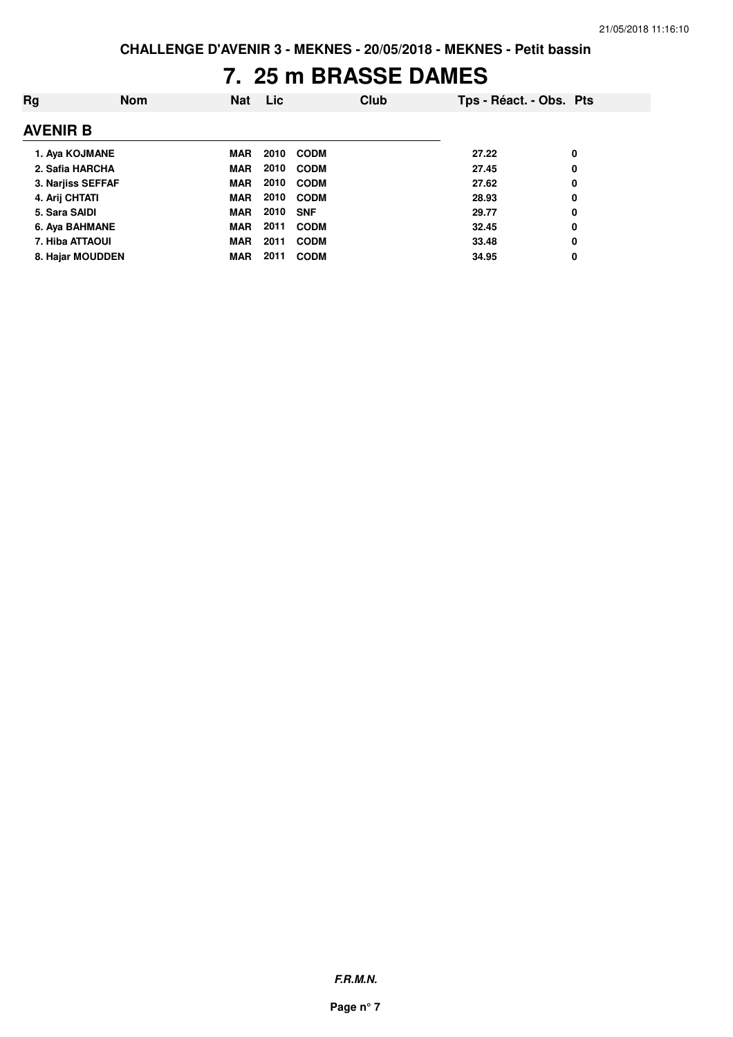# **7. 25 m BRASSE DAMES**

| Rg              | <b>Nom</b>        | <b>Nat</b> | Lic  |             | <b>Club</b> | Tps - Réact. - Obs. Pts |   |  |
|-----------------|-------------------|------------|------|-------------|-------------|-------------------------|---|--|
| <b>AVENIR B</b> |                   |            |      |             |             |                         |   |  |
|                 | 1. Aya KOJMANE    | <b>MAR</b> | 2010 | CODM        |             | 27.22                   | 0 |  |
|                 | 2. Safia HARCHA   | <b>MAR</b> | 2010 | <b>CODM</b> |             | 27.45                   | 0 |  |
|                 | 3. Narjiss SEFFAF | <b>MAR</b> | 2010 | <b>CODM</b> |             | 27.62                   | 0 |  |
| 4. Arij CHTATI  |                   | <b>MAR</b> | 2010 | CODM        |             | 28.93                   | 0 |  |
| 5. Sara SAIDI   |                   | <b>MAR</b> | 2010 | <b>SNF</b>  |             | 29.77                   | 0 |  |
|                 | 6. Aya BAHMANE    | <b>MAR</b> | 2011 | <b>CODM</b> |             | 32.45                   | 0 |  |
|                 | 7. Hiba ATTAOUI   | <b>MAR</b> | 2011 | <b>CODM</b> |             | 33.48                   | 0 |  |
|                 | 8. Hajar MOUDDEN  | <b>MAR</b> | 2011 | <b>CODM</b> |             | 34.95                   | 0 |  |
|                 |                   |            |      |             |             |                         |   |  |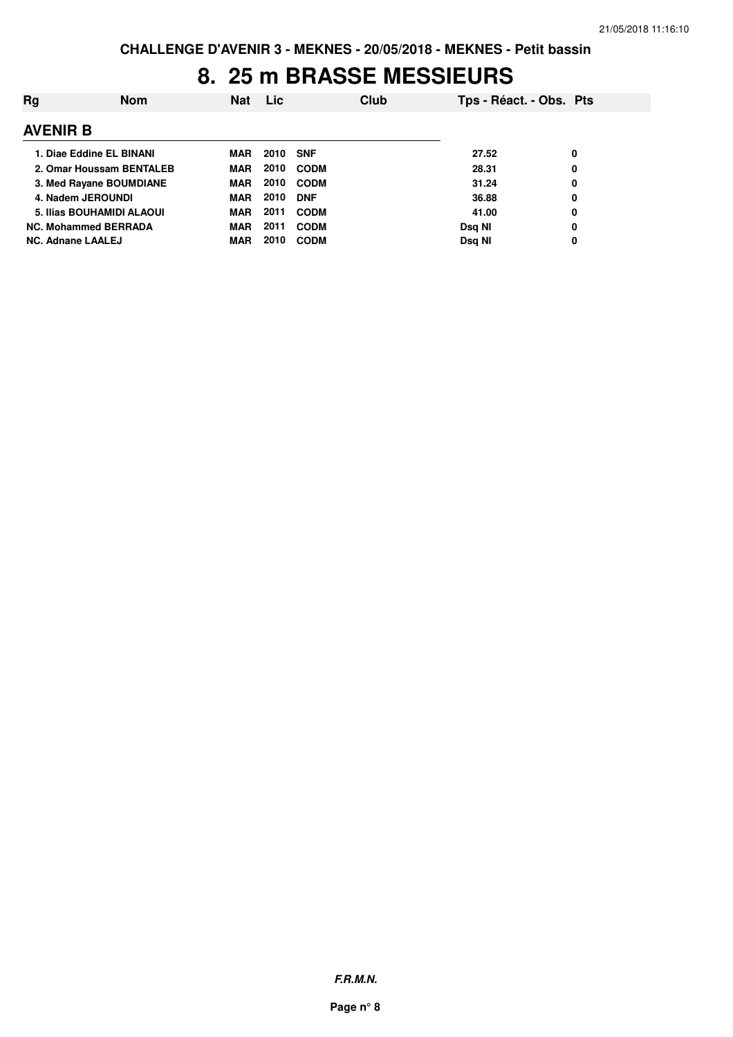### **8. 25 m BRASSE MESSIEURS**

| Rg                          | <b>Nom</b> | Nat        | <b>Lic</b>      |             | Club | Tps - Réact. - Obs. Pts |   |
|-----------------------------|------------|------------|-----------------|-------------|------|-------------------------|---|
| <b>AVENIR B</b>             |            |            |                 |             |      |                         |   |
| 1. Diae Eddine EL BINANI    |            | MAR        | <b>2010 SNF</b> |             |      | 27.52                   | 0 |
| 2. Omar Houssam BENTALEB    |            | <b>MAR</b> | 2010            | <b>CODM</b> |      | 28.31                   | 0 |
| 3. Med Rayane BOUMDIANE     |            | <b>MAR</b> | 2010            | <b>CODM</b> |      | 31.24                   | 0 |
| 4. Nadem JEROUNDI           |            | <b>MAR</b> | 2010            | <b>DNF</b>  |      | 36.88                   | 0 |
| 5. Ilias BOUHAMIDI ALAOUI   |            | <b>MAR</b> | 2011            | <b>CODM</b> |      | 41.00                   | 0 |
| <b>NC. Mohammed BERRADA</b> |            | <b>MAR</b> | 2011            | <b>CODM</b> |      | Dsg NI                  | 0 |
| <b>NC. Adnane LAALEJ</b>    |            | MAR        | 2010            | <b>CODM</b> |      | Dsg NI                  | 0 |

**F.R.M.N.**

**Page n° 8**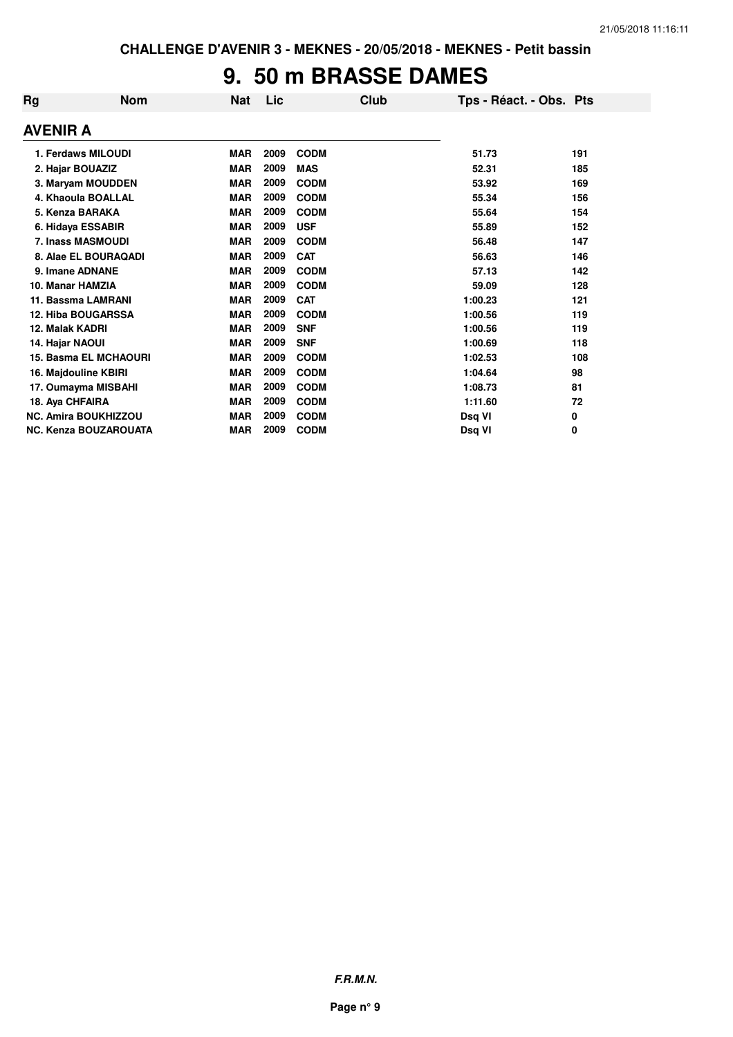## **9. 50 m BRASSE DAMES**

| <b>Rg</b> | <b>Nom</b>                   | <b>Nat</b> | Lic  | Club        | Tps - Réact. - Obs. Pts |     |
|-----------|------------------------------|------------|------|-------------|-------------------------|-----|
|           | <b>AVENIR A</b>              |            |      |             |                         |     |
|           | 1. Ferdaws MILOUDI           | <b>MAR</b> | 2009 | <b>CODM</b> | 51.73                   | 191 |
|           | 2. Hajar BOUAZIZ             | <b>MAR</b> | 2009 | <b>MAS</b>  | 52.31                   | 185 |
|           | 3. Maryam MOUDDEN            | <b>MAR</b> | 2009 | <b>CODM</b> | 53.92                   | 169 |
|           | 4. Khaoula BOALLAL           | <b>MAR</b> | 2009 | <b>CODM</b> | 55.34                   | 156 |
|           | 5. Kenza BARAKA              | <b>MAR</b> | 2009 | <b>CODM</b> | 55.64                   | 154 |
|           | 6. Hidaya ESSABIR            | <b>MAR</b> | 2009 | <b>USF</b>  | 55.89                   | 152 |
|           | 7. Inass MASMOUDI            | <b>MAR</b> | 2009 | <b>CODM</b> | 56.48                   | 147 |
|           | 8. Alae EL BOURAQADI         | <b>MAR</b> | 2009 | <b>CAT</b>  | 56.63                   | 146 |
|           | 9. Imane ADNANE              | <b>MAR</b> | 2009 | <b>CODM</b> | 57.13                   | 142 |
|           | 10. Manar HAMZIA             | <b>MAR</b> | 2009 | <b>CODM</b> | 59.09                   | 128 |
|           | 11. Bassma LAMRANI           | <b>MAR</b> | 2009 | <b>CAT</b>  | 1:00.23                 | 121 |
|           | <b>12. Hiba BOUGARSSA</b>    | <b>MAR</b> | 2009 | <b>CODM</b> | 1:00.56                 | 119 |
|           | 12. Malak KADRI              | <b>MAR</b> | 2009 | <b>SNF</b>  | 1:00.56                 | 119 |
|           | 14. Hajar NAOUI              | <b>MAR</b> | 2009 | <b>SNF</b>  | 1:00.69                 | 118 |
|           | <b>15. Basma EL MCHAOURI</b> | <b>MAR</b> | 2009 | <b>CODM</b> | 1:02.53                 | 108 |
|           | 16. Majdouline KBIRI         | <b>MAR</b> | 2009 | <b>CODM</b> | 1:04.64                 | 98  |
|           | 17. Oumayma MISBAHI          | <b>MAR</b> | 2009 | <b>CODM</b> | 1:08.73                 | 81  |
|           | 18. Aya CHFAIRA              | <b>MAR</b> | 2009 | <b>CODM</b> | 1:11.60                 | 72  |
|           | <b>NC. Amira BOUKHIZZOU</b>  | <b>MAR</b> | 2009 | <b>CODM</b> | Dsq VI                  | 0   |
|           | <b>NC. Kenza BOUZAROUATA</b> | <b>MAR</b> | 2009 | <b>CODM</b> | Dsq VI                  | 0   |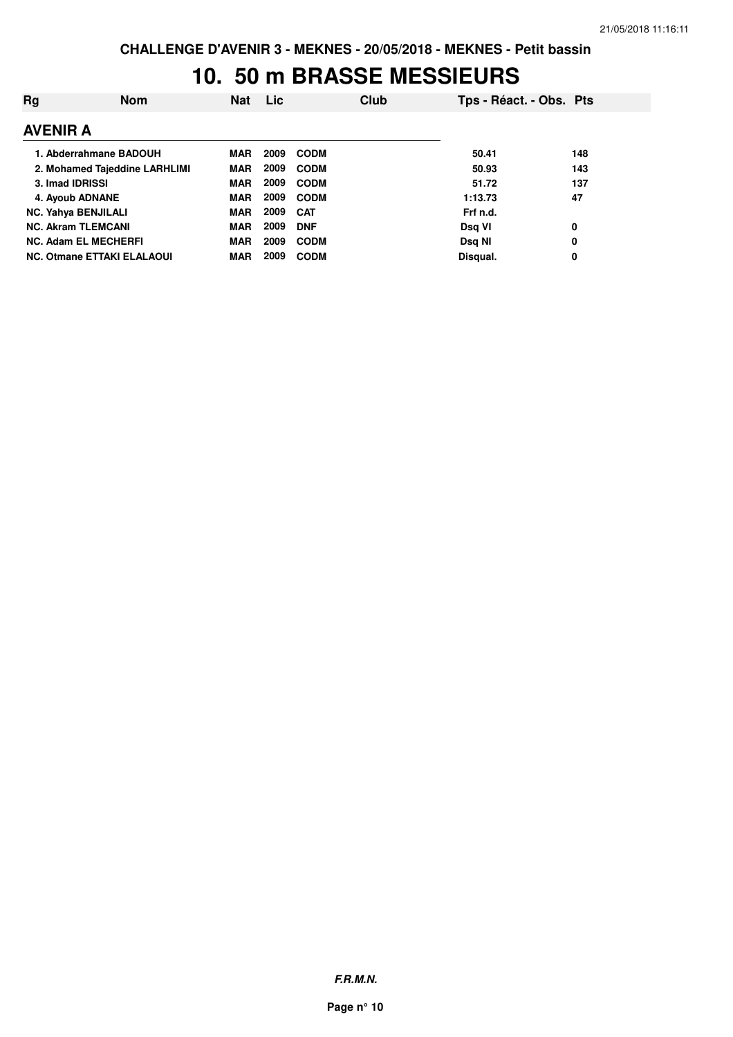### **10. 50 m BRASSE MESSIEURS**

| Rg              | <b>Nom</b>                        | <b>Nat</b> | <b>Lic</b> |             | Club | Tps - Réact. - Obs. Pts |     |
|-----------------|-----------------------------------|------------|------------|-------------|------|-------------------------|-----|
| <b>AVENIR A</b> |                                   |            |            |             |      |                         |     |
|                 | 1. Abderrahmane BADOUH            | <b>MAR</b> | 2009       | <b>CODM</b> |      | 50.41                   | 148 |
|                 | 2. Mohamed Tajeddine LARHLIMI     | <b>MAR</b> | 2009       | <b>CODM</b> |      | 50.93                   | 143 |
| 3. Imad IDRISSI |                                   | <b>MAR</b> | 2009       | <b>CODM</b> |      | 51.72                   | 137 |
|                 | 4. Ayoub ADNANE                   | <b>MAR</b> | 2009       | <b>CODM</b> |      | 1:13.73                 | 47  |
|                 | <b>NC. Yahya BENJILALI</b>        | <b>MAR</b> | 2009       | <b>CAT</b>  |      | Frf n.d.                |     |
|                 | <b>NC. Akram TLEMCANI</b>         | <b>MAR</b> | 2009       | <b>DNF</b>  |      | Dsg VI                  | 0   |
|                 | <b>NC. Adam EL MECHERFI</b>       | <b>MAR</b> | 2009       | <b>CODM</b> |      | Dsg NI                  | 0   |
|                 | <b>NC. Otmane ETTAKI ELALAOUI</b> | <b>MAR</b> | 2009       | <b>CODM</b> |      | Disqual.                | 0   |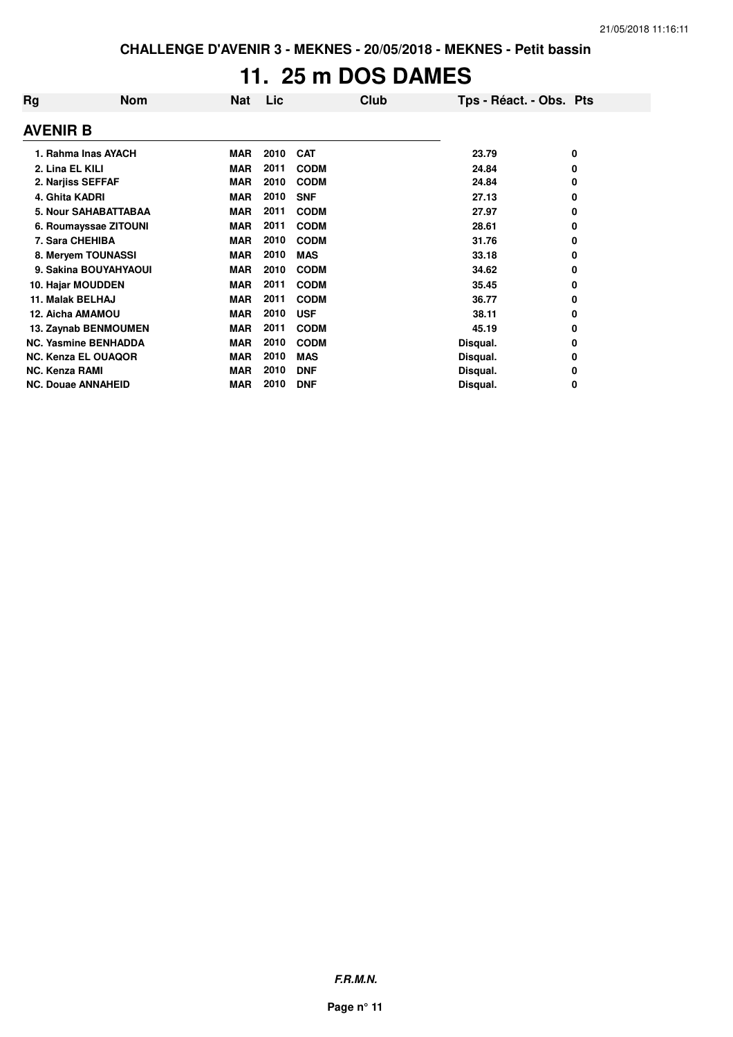# **11. 25 m DOS DAMES**

| Rg                    | <b>Nom</b>                  | <b>Nat</b> | Lic  | Club        | Tps - Réact. - Obs. Pts |   |
|-----------------------|-----------------------------|------------|------|-------------|-------------------------|---|
| <b>AVENIR B</b>       |                             |            |      |             |                         |   |
|                       | 1. Rahma Inas AYACH         | <b>MAR</b> | 2010 | <b>CAT</b>  | 23.79                   | 0 |
| 2. Lina EL KILI       |                             | <b>MAR</b> | 2011 | <b>CODM</b> | 24.84                   | 0 |
| 2. Narjiss SEFFAF     |                             | <b>MAR</b> | 2010 | <b>CODM</b> | 24.84                   | 0 |
| 4. Ghita KADRI        |                             | <b>MAR</b> | 2010 | <b>SNF</b>  | 27.13                   | 0 |
|                       | <b>5. Nour SAHABATTABAA</b> | <b>MAR</b> | 2011 | <b>CODM</b> | 27.97                   | 0 |
|                       | 6. Roumayssae ZITOUNI       | <b>MAR</b> | 2011 | <b>CODM</b> | 28.61                   | 0 |
| 7. Sara CHEHIBA       |                             | MAR        | 2010 | <b>CODM</b> | 31.76                   | 0 |
|                       | 8. Meryem TOUNASSI          | MAR        | 2010 | <b>MAS</b>  | 33.18                   | 0 |
|                       | 9. Sakina BOUYAHYAOUI       | <b>MAR</b> | 2010 | <b>CODM</b> | 34.62                   | 0 |
|                       | 10. Hajar MOUDDEN           | <b>MAR</b> | 2011 | <b>CODM</b> | 35.45                   | 0 |
| 11. Malak BELHAJ      |                             | <b>MAR</b> | 2011 | <b>CODM</b> | 36.77                   | 0 |
| 12. Aicha AMAMOU      |                             | <b>MAR</b> | 2010 | <b>USF</b>  | 38.11                   | 0 |
|                       | 13. Zaynab BENMOUMEN        | <b>MAR</b> | 2011 | <b>CODM</b> | 45.19                   | 0 |
|                       | <b>NC. Yasmine BENHADDA</b> | <b>MAR</b> | 2010 | <b>CODM</b> | Disqual.                | 0 |
|                       | <b>NC. Kenza EL OUAQOR</b>  | <b>MAR</b> | 2010 | <b>MAS</b>  | Disqual.                | 0 |
| <b>NC. Kenza RAMI</b> |                             | <b>MAR</b> | 2010 | <b>DNF</b>  | Disqual.                | 0 |
|                       | <b>NC. Douae ANNAHEID</b>   | <b>MAR</b> | 2010 | <b>DNF</b>  | Disqual.                | 0 |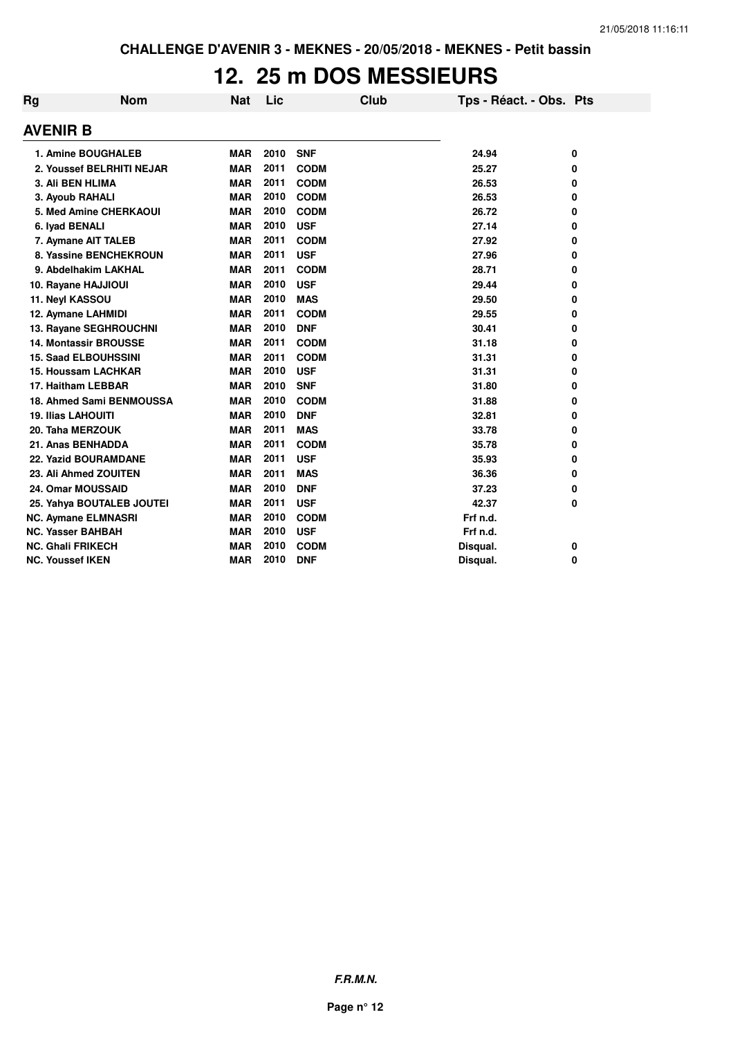## **12. 25 m DOS MESSIEURS**

| Rg              | <b>Nom</b>                    | <b>Nat</b> | Lic  | <b>Club</b> | Tps - Réact. - Obs. Pts |   |
|-----------------|-------------------------------|------------|------|-------------|-------------------------|---|
| <b>AVENIR B</b> |                               |            |      |             |                         |   |
|                 | 1. Amine BOUGHALEB            | <b>MAR</b> | 2010 | <b>SNF</b>  | 24.94                   | 0 |
|                 | 2. Youssef BELRHITI NEJAR     | <b>MAR</b> | 2011 | <b>CODM</b> | 25.27                   | 0 |
|                 | 3. Ali BEN HLIMA              | <b>MAR</b> | 2011 | <b>CODM</b> | 26.53                   | 0 |
|                 | 3. Ayoub RAHALI               | <b>MAR</b> | 2010 | <b>CODM</b> | 26.53                   | 0 |
|                 | <b>5. Med Amine CHERKAOUI</b> | <b>MAR</b> | 2010 | <b>CODM</b> | 26.72                   | 0 |
|                 | 6. Iyad BENALI                | <b>MAR</b> | 2010 | <b>USF</b>  | 27.14                   | 0 |
|                 | 7. Aymane AIT TALEB           | <b>MAR</b> | 2011 | <b>CODM</b> | 27.92                   | 0 |
|                 | 8. Yassine BENCHEKROUN        | <b>MAR</b> | 2011 | <b>USF</b>  | 27.96                   | 0 |
|                 | 9. Abdelhakim LAKHAL          | <b>MAR</b> | 2011 | <b>CODM</b> | 28.71                   | 0 |
|                 | 10. Rayane HAJJIOUI           | <b>MAR</b> | 2010 | <b>USF</b>  | 29.44                   | 0 |
|                 | 11. Neyl KASSOU               | <b>MAR</b> | 2010 | <b>MAS</b>  | 29.50                   | 0 |
|                 | 12. Aymane LAHMIDI            | <b>MAR</b> | 2011 | <b>CODM</b> | 29.55                   | 0 |
|                 | 13. Rayane SEGHROUCHNI        | <b>MAR</b> | 2010 | <b>DNF</b>  | 30.41                   | 0 |
|                 | <b>14. Montassir BROUSSE</b>  | <b>MAR</b> | 2011 | <b>CODM</b> | 31.18                   | 0 |
|                 | <b>15. Saad ELBOUHSSINI</b>   | <b>MAR</b> | 2011 | <b>CODM</b> | 31.31                   | 0 |
|                 | <b>15. Houssam LACHKAR</b>    | <b>MAR</b> | 2010 | <b>USF</b>  | 31.31                   | 0 |
|                 | 17. Haitham LEBBAR            | <b>MAR</b> | 2010 | <b>SNF</b>  | 31.80                   | 0 |
|                 | 18. Ahmed Sami BENMOUSSA      | <b>MAR</b> | 2010 | <b>CODM</b> | 31.88                   | 0 |
|                 | <b>19. Ilias LAHOUITI</b>     | <b>MAR</b> | 2010 | <b>DNF</b>  | 32.81                   | 0 |
|                 | 20. Taha MERZOUK              | <b>MAR</b> | 2011 | <b>MAS</b>  | 33.78                   | 0 |
|                 | 21. Anas BENHADDA             | <b>MAR</b> | 2011 | <b>CODM</b> | 35.78                   | 0 |
|                 | <b>22. Yazid BOURAMDANE</b>   | <b>MAR</b> | 2011 | <b>USF</b>  | 35.93                   | 0 |
|                 | 23. Ali Ahmed ZOUITEN         | <b>MAR</b> | 2011 | <b>MAS</b>  | 36.36                   | 0 |
|                 | 24. Omar MOUSSAID             | <b>MAR</b> | 2010 | <b>DNF</b>  | 37.23                   | 0 |
|                 | 25. Yahya BOUTALEB JOUTEI     | <b>MAR</b> | 2011 | <b>USF</b>  | 42.37                   | 0 |
|                 | <b>NC. Aymane ELMNASRI</b>    | <b>MAR</b> | 2010 | <b>CODM</b> | Frf n.d.                |   |
|                 | <b>NC. Yasser BAHBAH</b>      | <b>MAR</b> | 2010 | <b>USF</b>  | Frf n.d.                |   |
|                 | <b>NC. Ghali FRIKECH</b>      | <b>MAR</b> | 2010 | <b>CODM</b> | Disqual.                | 0 |
|                 | <b>NC. Youssef IKEN</b>       | <b>MAR</b> | 2010 | <b>DNF</b>  | Disqual.                | 0 |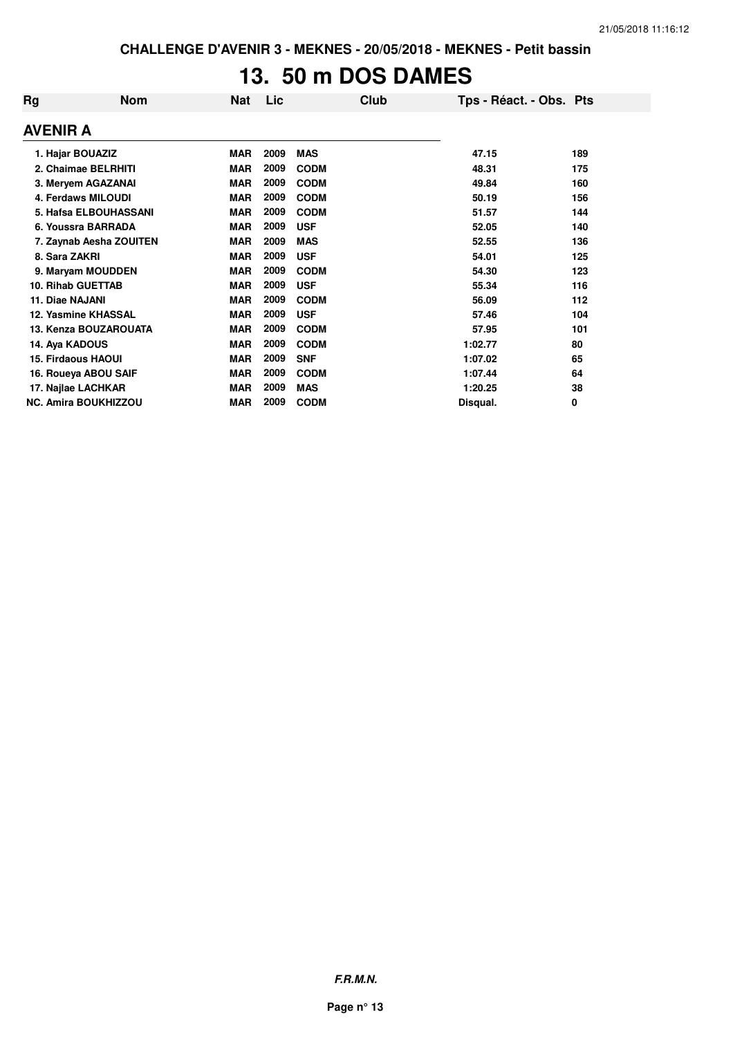# **13. 50 m DOS DAMES**

| Rg                          | <b>Nom</b>               | <b>Nat</b> | Lic  | Club        | Tps - Réact. - Obs. Pts |     |
|-----------------------------|--------------------------|------------|------|-------------|-------------------------|-----|
| AVENIR A                    |                          |            |      |             |                         |     |
|                             | 1. Hajar BOUAZIZ         | <b>MAR</b> | 2009 | <b>MAS</b>  | 47.15                   | 189 |
| 2. Chaimae BELRHITI         |                          | <b>MAR</b> | 2009 | <b>CODM</b> | 48.31                   | 175 |
| 3. Meryem AGAZANAI          |                          | <b>MAR</b> | 2009 | <b>CODM</b> | 49.84                   | 160 |
| 4. Ferdaws MILOUDI          |                          | <b>MAR</b> | 2009 | <b>CODM</b> | 50.19                   | 156 |
| 5. Hafsa ELBOUHASSANI       |                          | <b>MAR</b> | 2009 | <b>CODM</b> | 51.57                   | 144 |
| 6. Youssra BARRADA          |                          | <b>MAR</b> | 2009 | <b>USF</b>  | 52.05                   | 140 |
| 7. Zaynab Aesha ZOUITEN     |                          | <b>MAR</b> | 2009 | <b>MAS</b>  | 52.55                   | 136 |
| 8. Sara ZAKRI               |                          | <b>MAR</b> | 2009 | <b>USF</b>  | 54.01                   | 125 |
| 9. Maryam MOUDDEN           |                          | <b>MAR</b> | 2009 | <b>CODM</b> | 54.30                   | 123 |
|                             | <b>10. Rihab GUETTAB</b> | <b>MAR</b> | 2009 | <b>USF</b>  | 55.34                   | 116 |
| 11. Diae NAJANI             |                          | <b>MAR</b> | 2009 | <b>CODM</b> | 56.09                   | 112 |
|                             | 12. Yasmine KHASSAL      | <b>MAR</b> | 2009 | <b>USF</b>  | 57.46                   | 104 |
|                             | 13. Kenza BOUZAROUATA    | <b>MAR</b> | 2009 | <b>CODM</b> | 57.95                   | 101 |
| 14. Aya KADOUS              |                          | <b>MAR</b> | 2009 | <b>CODM</b> | 1:02.77                 | 80  |
|                             | 15. Firdaous HAOUI       | <b>MAR</b> | 2009 | <b>SNF</b>  | 1:07.02                 | 65  |
|                             | 16. Roueya ABOU SAIF     | <b>MAR</b> | 2009 | <b>CODM</b> | 1:07.44                 | 64  |
| 17. Najlae LACHKAR          |                          | <b>MAR</b> | 2009 | <b>MAS</b>  | 1:20.25                 | 38  |
| <b>NC. Amira BOUKHIZZOU</b> |                          | <b>MAR</b> | 2009 | <b>CODM</b> | Disqual.                | 0   |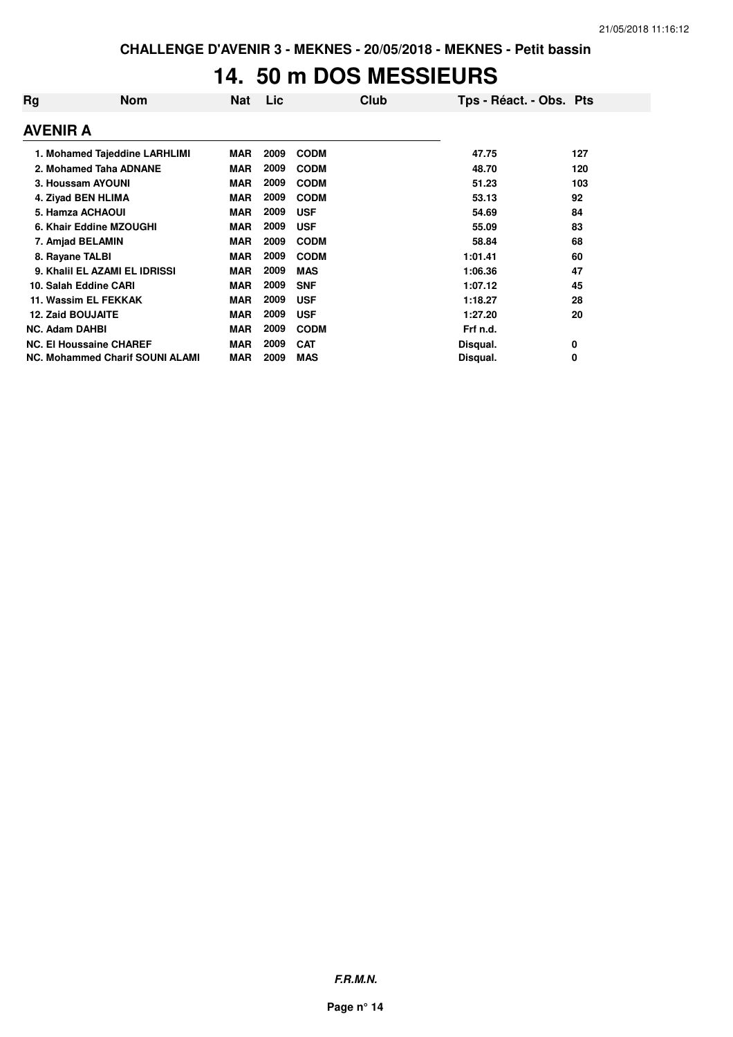## **14. 50 m DOS MESSIEURS**

| Rg                                     | <b>Nom</b>                     | <b>Nat</b> | Lic  | <b>Club</b> | Tps - Réact. - Obs. Pts |     |
|----------------------------------------|--------------------------------|------------|------|-------------|-------------------------|-----|
| <b>AVENIR A</b>                        |                                |            |      |             |                         |     |
|                                        | 1. Mohamed Tajeddine LARHLIMI  | <b>MAR</b> | 2009 | <b>CODM</b> | 47.75                   | 127 |
| 2. Mohamed Taha ADNANE                 |                                | <b>MAR</b> | 2009 | <b>CODM</b> | 48.70                   | 120 |
| 3. Houssam AYOUNI                      |                                | <b>MAR</b> | 2009 | <b>CODM</b> | 51.23                   | 103 |
| 4. Ziyad BEN HLIMA                     |                                | <b>MAR</b> | 2009 | <b>CODM</b> | 53.13                   | 92  |
| 5. Hamza ACHAOUI                       |                                | <b>MAR</b> | 2009 | <b>USF</b>  | 54.69                   | 84  |
|                                        | 6. Khair Eddine MZOUGHI        | <b>MAR</b> | 2009 | <b>USF</b>  | 55.09                   | 83  |
|                                        | 7. Amjad BELAMIN               | <b>MAR</b> | 2009 | <b>CODM</b> | 58.84                   | 68  |
| 8. Rayane TALBI                        |                                | <b>MAR</b> | 2009 | <b>CODM</b> | 1:01.41                 | 60  |
|                                        | 9. Khalil EL AZAMI EL IDRISSI  | <b>MAR</b> | 2009 | <b>MAS</b>  | 1:06.36                 | 47  |
|                                        | 10. Salah Eddine CARI          | <b>MAR</b> | 2009 | <b>SNF</b>  | 1:07.12                 | 45  |
|                                        | 11. Wassim EL FEKKAK           | <b>MAR</b> | 2009 | <b>USF</b>  | 1:18.27                 | 28  |
| <b>12. Zaid BOUJAITE</b>               |                                | <b>MAR</b> | 2009 | <b>USF</b>  | 1:27.20                 | 20  |
| <b>NC. Adam DAHBI</b>                  |                                | <b>MAR</b> | 2009 | <b>CODM</b> | Frf n.d.                |     |
|                                        | <b>NC. El Houssaine CHAREF</b> | <b>MAR</b> | 2009 | <b>CAT</b>  | Disqual.                | 0   |
| <b>NC. Mohammed Charif SOUNI ALAMI</b> |                                | <b>MAR</b> | 2009 | <b>MAS</b>  | Disqual.                | 0   |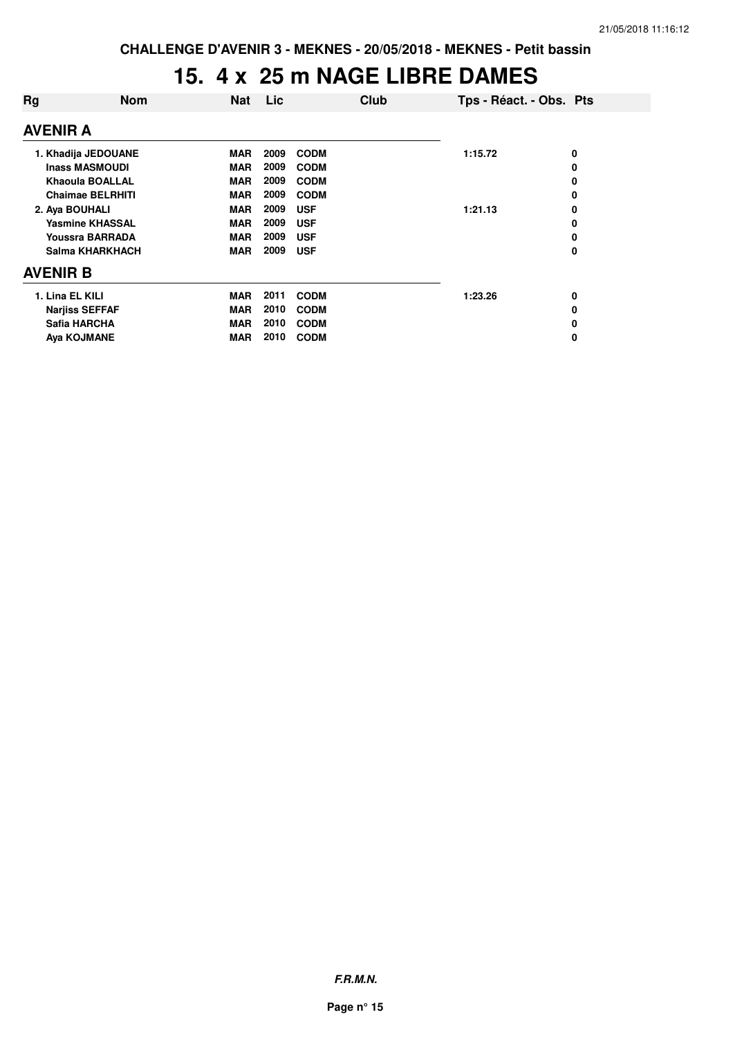### **15. 4 x 25 m NAGE LIBRE DAMES**

| Rg                      | <b>Nom</b>            | <b>Nat</b> | Lic         | <b>Club</b> | Tps - Réact. - Obs. Pts |   |
|-------------------------|-----------------------|------------|-------------|-------------|-------------------------|---|
| AVENIR A                |                       |            |             |             |                         |   |
| 1. Khadija JEDOUANE     |                       | <b>MAR</b> | 2009        | <b>CODM</b> | 1:15.72                 | 0 |
| <b>Inass MASMOUDI</b>   |                       | <b>MAR</b> | 2009        | <b>CODM</b> |                         | 0 |
| <b>Khaoula BOALLAL</b>  | <b>MAR</b>            | 2009       | <b>CODM</b> |             | 0                       |   |
| <b>Chaimae BELRHITI</b> |                       | <b>MAR</b> | 2009        | <b>CODM</b> |                         | 0 |
| 2. Aya BOUHALI          |                       | <b>MAR</b> | 2009        | <b>USF</b>  | 1:21.13                 | 0 |
| <b>Yasmine KHASSAL</b>  |                       | <b>MAR</b> | 2009        | <b>USF</b>  |                         | 0 |
| <b>Youssra BARRADA</b>  |                       | <b>MAR</b> | 2009        | <b>USF</b>  |                         | 0 |
| Salma KHARKHACH         |                       | <b>MAR</b> | 2009        | <b>USF</b>  |                         | 0 |
| <b>AVENIR B</b>         |                       |            |             |             |                         |   |
| 1. Lina EL KILI         |                       | <b>MAR</b> | 2011        | <b>CODM</b> | 1:23.26                 | 0 |
|                         | <b>Narjiss SEFFAF</b> | <b>MAR</b> | 2010        | <b>CODM</b> |                         | 0 |
|                         | Safia HARCHA          | <b>MAR</b> | 2010        | <b>CODM</b> |                         | 0 |
| Aya KOJMANE             |                       | <b>MAR</b> | 2010        | <b>CODM</b> |                         | 0 |
|                         |                       |            |             |             |                         |   |